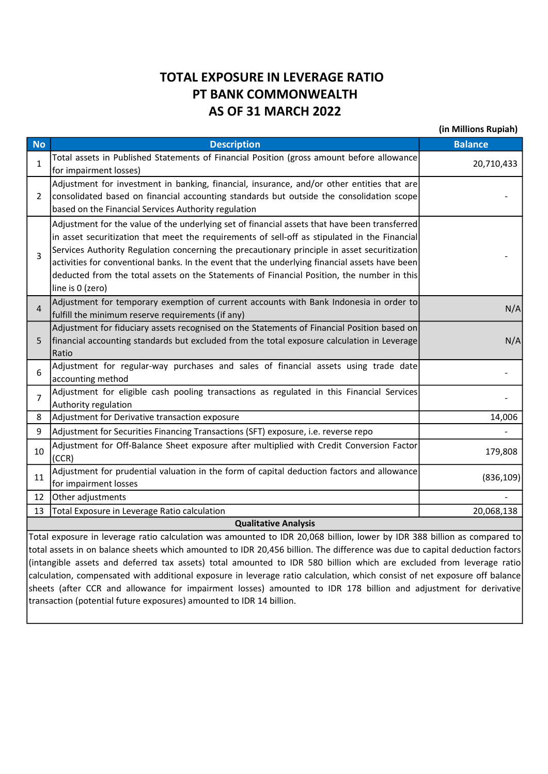## TOTAL EXPOSURE IN LEVERAGE RATIO PT BANK COMMONWEALTH AS OF 31 MARCH 2022

(in Millions Rupiah)

| <b>No</b>                   | <b>Description</b>                                                                                                          | <b>Balance</b> |  |  |  |  |
|-----------------------------|-----------------------------------------------------------------------------------------------------------------------------|----------------|--|--|--|--|
| 1                           | Total assets in Published Statements of Financial Position (gross amount before allowance                                   | 20,710,433     |  |  |  |  |
|                             | for impairment losses)                                                                                                      |                |  |  |  |  |
| $\mathbf{2}$                | Adjustment for investment in banking, financial, insurance, and/or other entities that are                                  |                |  |  |  |  |
|                             | consolidated based on financial accounting standards but outside the consolidation scope                                    |                |  |  |  |  |
|                             | based on the Financial Services Authority regulation                                                                        |                |  |  |  |  |
| 3                           | Adjustment for the value of the underlying set of financial assets that have been transferred                               |                |  |  |  |  |
|                             | in asset securitization that meet the requirements of sell-off as stipulated in the Financial                               |                |  |  |  |  |
|                             | Services Authority Regulation concerning the precautionary principle in asset securitization                                |                |  |  |  |  |
|                             | activities for conventional banks. In the event that the underlying financial assets have been                              |                |  |  |  |  |
|                             | deducted from the total assets on the Statements of Financial Position, the number in this                                  |                |  |  |  |  |
|                             | line is 0 (zero)                                                                                                            |                |  |  |  |  |
| 4                           | Adjustment for temporary exemption of current accounts with Bank Indonesia in order to                                      | N/A            |  |  |  |  |
|                             | fulfill the minimum reserve requirements (if any)                                                                           |                |  |  |  |  |
|                             | Adjustment for fiduciary assets recognised on the Statements of Financial Position based on                                 |                |  |  |  |  |
| 5                           | financial accounting standards but excluded from the total exposure calculation in Leverage                                 | N/A            |  |  |  |  |
|                             | Ratio                                                                                                                       |                |  |  |  |  |
| 6                           | Adjustment for regular-way purchases and sales of financial assets using trade date                                         |                |  |  |  |  |
|                             | accounting method                                                                                                           |                |  |  |  |  |
| 7                           | Adjustment for eligible cash pooling transactions as regulated in this Financial Services                                   |                |  |  |  |  |
|                             | Authority regulation                                                                                                        |                |  |  |  |  |
| 8                           | Adjustment for Derivative transaction exposure                                                                              | 14,006         |  |  |  |  |
| 9                           | Adjustment for Securities Financing Transactions (SFT) exposure, i.e. reverse repo                                          |                |  |  |  |  |
| 10                          | Adjustment for Off-Balance Sheet exposure after multiplied with Credit Conversion Factor                                    |                |  |  |  |  |
|                             | (CCR)                                                                                                                       | 179,808        |  |  |  |  |
|                             | Adjustment for prudential valuation in the form of capital deduction factors and allowance                                  |                |  |  |  |  |
| 11                          | for impairment losses                                                                                                       | (836, 109)     |  |  |  |  |
| 12                          | Other adjustments                                                                                                           |                |  |  |  |  |
| 13                          | Total Exposure in Leverage Ratio calculation                                                                                | 20,068,138     |  |  |  |  |
| <b>Qualitative Analysis</b> |                                                                                                                             |                |  |  |  |  |
|                             | Total exposure in leverage ratio calculation was amounted to IDR 20,068 billion, lower by IDR 388 billion as compared to    |                |  |  |  |  |
|                             | total assots in on balance shoots which amounted to IDP 20.456 billion. The difference was due to sanital deduction factors |                |  |  |  |  |

balance sheets which amounted to IDR 20,456 billion. The difference was due to ca (intangible assets and deferred tax assets) total amounted to IDR 580 billion which are excluded from leverage ratio calculation, compensated with additional exposure in leverage ratio calculation, which consist of net exposure off balance sheets (after CCR and allowance for impairment losses) amounted to IDR 178 billion and adjustment for derivative transaction (potential future exposures) amounted to IDR 14 billion.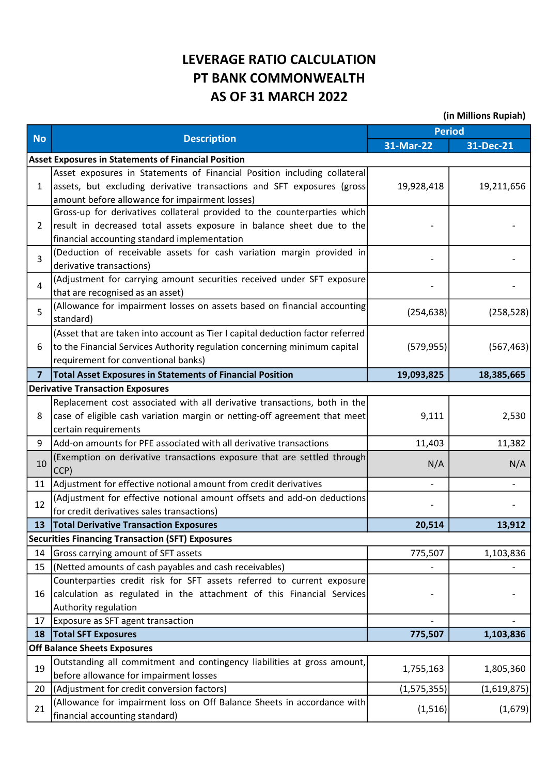## LEVERAGE RATIO CALCULATION PT BANK COMMONWEALTH AS OF 31 MARCH 2022

(in Millions Rupiah)

|                |                                                                                                                                                                                                      | <b>Period</b> |             |  |
|----------------|------------------------------------------------------------------------------------------------------------------------------------------------------------------------------------------------------|---------------|-------------|--|
| <b>No</b>      | <b>Description</b>                                                                                                                                                                                   | 31-Mar-22     | 31-Dec-21   |  |
|                | <b>Asset Exposures in Statements of Financial Position</b>                                                                                                                                           |               |             |  |
| $\mathbf{1}$   | Asset exposures in Statements of Financial Position including collateral<br>assets, but excluding derivative transactions and SFT exposures (gross<br>amount before allowance for impairment losses) | 19,928,418    | 19,211,656  |  |
| $\overline{2}$ | Gross-up for derivatives collateral provided to the counterparties which<br>result in decreased total assets exposure in balance sheet due to the<br>financial accounting standard implementation    |               |             |  |
| 3              | (Deduction of receivable assets for cash variation margin provided in<br>derivative transactions)                                                                                                    |               |             |  |
| 4              | (Adjustment for carrying amount securities received under SFT exposure<br>that are recognised as an asset)                                                                                           |               |             |  |
| 5              | (Allowance for impairment losses on assets based on financial accounting<br>standard)                                                                                                                | (254, 638)    | (258, 528)  |  |
| 6              | (Asset that are taken into account as Tier I capital deduction factor referred<br>to the Financial Services Authority regulation concerning minimum capital<br>requirement for conventional banks)   | (579, 955)    | (567, 463)  |  |
| $\overline{7}$ | <b>Total Asset Exposures in Statements of Financial Position</b>                                                                                                                                     | 19,093,825    | 18,385,665  |  |
|                | <b>Derivative Transaction Exposures</b>                                                                                                                                                              |               |             |  |
| 8              | Replacement cost associated with all derivative transactions, both in the<br>case of eligible cash variation margin or netting-off agreement that meet<br>certain requirements                       | 9,111         | 2,530       |  |
| 9              | Add-on amounts for PFE associated with all derivative transactions                                                                                                                                   | 11,403        | 11,382      |  |
| 10             | (Exemption on derivative transactions exposure that are settled through<br>CCP)                                                                                                                      | N/A           | N/A         |  |
| 11             | Adjustment for effective notional amount from credit derivatives                                                                                                                                     | $\frac{1}{2}$ |             |  |
| 12             | (Adjustment for effective notional amount offsets and add-on deductions<br>for credit derivatives sales transactions)                                                                                |               |             |  |
| 13             | <b>Total Derivative Transaction Exposures</b>                                                                                                                                                        | 20,514        | 13,912      |  |
|                | <b>Securities Financing Transaction (SFT) Exposures</b>                                                                                                                                              |               |             |  |
| 14             | Gross carrying amount of SFT assets                                                                                                                                                                  | 775,507       | 1,103,836   |  |
| 15             | (Netted amounts of cash payables and cash receivables)                                                                                                                                               |               |             |  |
| 16             | Counterparties credit risk for SFT assets referred to current exposure<br>calculation as regulated in the attachment of this Financial Services<br>Authority regulation                              |               |             |  |
| 17             | Exposure as SFT agent transaction                                                                                                                                                                    |               |             |  |
| 18             | <b>Total SFT Exposures</b>                                                                                                                                                                           | 775,507       | 1,103,836   |  |
|                | <b>Off Balance Sheets Exposures</b>                                                                                                                                                                  |               |             |  |
| 19             | Outstanding all commitment and contingency liabilities at gross amount,<br>before allowance for impairment losses                                                                                    | 1,755,163     | 1,805,360   |  |
| 20             | (Adjustment for credit conversion factors)                                                                                                                                                           | (1, 575, 355) | (1,619,875) |  |
| 21             | (Allowance for impairment loss on Off Balance Sheets in accordance with<br>financial accounting standard)                                                                                            | (1, 516)      | (1,679)     |  |